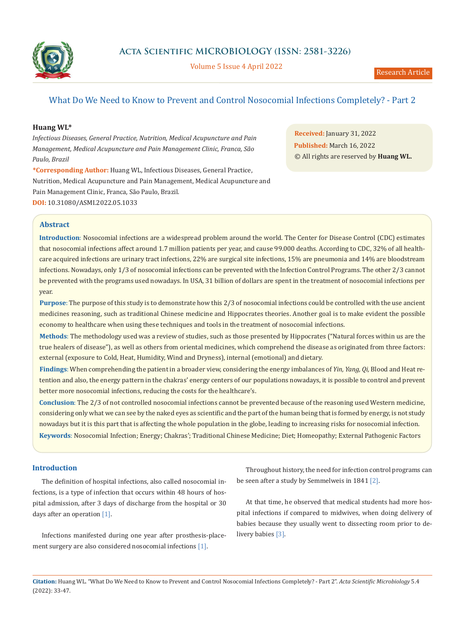

**Acta Scientific MICROBIOLOGY (ISSN: 2581-3226)**

Volume 5 Issue 4 April 2022

# What Do We Need to Know to Prevent and Control Nosocomial Infections Completely? - Part 2

# **Huang WL\***

*Infectious Diseases, General Practice, Nutrition, Medical Acupuncture and Pain Management, Medical Acupuncture and Pain Management Clinic, Franca, São Paulo, Brazil*

**\*Corresponding Author:** Huang WL, Infectious Diseases, General Practice, Nutrition, Medical Acupuncture and Pain Management, Medical Acupuncture and Pain Management Clinic, Franca, São Paulo, Brazil. **DOI:** 10.31080/ASMI.2022.05.1033

**Received:** January 31, 2022 **Published:** March 16, 2022 © All rights are reserved by **Huang WL.**

# **Abstract**

**Introduction**: Nosocomial infections are a widespread problem around the world. The Center for Disease Control (CDC) estimates that nosocomial infections affect around 1.7 million patients per year, and cause 99.000 deaths. According to CDC, 32% of all healthcare acquired infections are urinary tract infections, 22% are surgical site infections, 15% are pneumonia and 14% are bloodstream infections. Nowadays, only 1/3 of nosocomial infections can be prevented with the Infection Control Programs. The other 2/3 cannot be prevented with the programs used nowadays. In USA, 31 billion of dollars are spent in the treatment of nosocomial infections per year.

**Purpose**: The purpose of this study is to demonstrate how this 2/3 of nosocomial infections could be controlled with the use ancient medicines reasoning, such as traditional Chinese medicine and Hippocrates theories. Another goal is to make evident the possible economy to healthcare when using these techniques and tools in the treatment of nosocomial infections.

**Methods**: The methodology used was a review of studies, such as those presented by Hippocrates ("Natural forces within us are the true healers of disease"), as well as others from oriental medicines, which comprehend the disease as originated from three factors: external (exposure to Cold, Heat, Humidity, Wind and Dryness), internal (emotional) and dietary.

**Findings**: When comprehending the patient in a broader view, considering the energy imbalances of *Yin, Yang, Qi,* Blood and Heat retention and also, the energy pattern in the chakras' energy centers of our populations nowadays, it is possible to control and prevent better more nosocomial infections, reducing the costs for the healthcare's.

**Keywords**: Nosocomial Infection; Energy; Chakras'; Traditional Chinese Medicine; Diet; Homeopathy; External Pathogenic Factors **Conclusion**: The 2/3 of not controlled nosocomial infections cannot be prevented because of the reasoning used Western medicine, considering only what we can see by the naked eyes as scientific and the part of the human being that is formed by energy, is not study nowadays but it is this part that is affecting the whole population in the globe, leading to increasing risks for nosocomial infection.

# **Introduction**

The definition of hospital infections, also called nosocomial infections, is a type of infection that occurs within 48 hours of hospital admission, after 3 days of discharge from the hospital or 30 days after an operation [1].

Infections manifested during one year after prosthesis-placement surgery are also considered nosocomial infections [1].

Throughout history, the need for infection control programs can be seen after a study by Semmelweis in 1841 [2].

At that time, he observed that medical students had more hospital infections if compared to midwives, when doing delivery of babies because they usually went to dissecting room prior to delivery babies [3].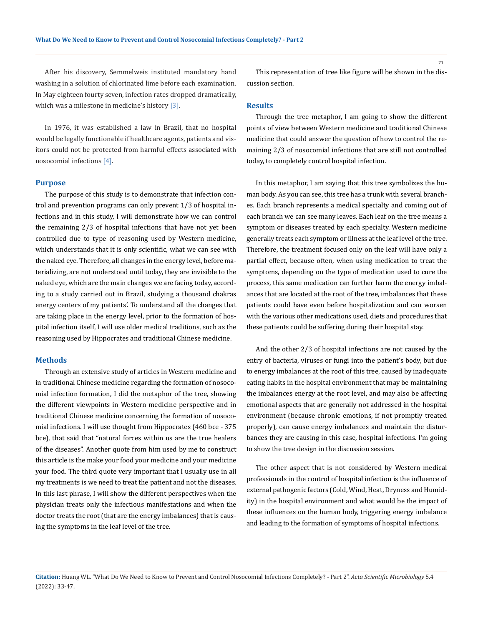After his discovery, Semmelweis instituted mandatory hand washing in a solution of chlorinated lime before each examination. In May eighteen fourty seven, infection rates dropped dramatically, which was a milestone in medicine's history [3].

In 1976, it was established a law in Brazil, that no hospital would be legally functionable if healthcare agents, patients and visitors could not be protected from harmful effects associated with nosocomial infections [4].

#### **Purpose**

The purpose of this study is to demonstrate that infection control and prevention programs can only prevent 1/3 of hospital infections and in this study, I will demonstrate how we can control the remaining 2/3 of hospital infections that have not yet been controlled due to type of reasoning used by Western medicine, which understands that it is only scientific, what we can see with the naked eye. Therefore, all changes in the energy level, before materializing, are not understood until today, they are invisible to the naked eye, which are the main changes we are facing today, according to a study carried out in Brazil, studying a thousand chakras energy centers of my patients'. To understand all the changes that are taking place in the energy level, prior to the formation of hospital infection itself, I will use older medical traditions, such as the reasoning used by Hippocrates and traditional Chinese medicine.

### **Methods**

Through an extensive study of articles in Western medicine and in traditional Chinese medicine regarding the formation of nosocomial infection formation, I did the metaphor of the tree, showing the different viewpoints in Western medicine perspective and in traditional Chinese medicine concerning the formation of nosocomial infections. I will use thought from Hippocrates (460 bce - 375 bce), that said that "natural forces within us are the true healers of the diseases". Another quote from him used by me to construct this article is the make your food your medicine and your medicine your food. The third quote very important that I usually use in all my treatments is we need to treat the patient and not the diseases. In this last phrase, I will show the different perspectives when the physician treats only the infectious manifestations and when the doctor treats the root (that are the energy imbalances) that is causing the symptoms in the leaf level of the tree.

This representation of tree like figure will be shown in the discussion section.

#### **Results**

Through the tree metaphor, I am going to show the different points of view between Western medicine and traditional Chinese medicine that could answer the question of how to control the remaining 2/3 of nosocomial infections that are still not controlled today, to completely control hospital infection.

In this metaphor, I am saying that this tree symbolizes the human body. As you can see, this tree has a trunk with several branches. Each branch represents a medical specialty and coming out of each branch we can see many leaves. Each leaf on the tree means a symptom or diseases treated by each specialty. Western medicine generally treats each symptom or illness at the leaf level of the tree. Therefore, the treatment focused only on the leaf will have only a partial effect, because often, when using medication to treat the symptoms, depending on the type of medication used to cure the process, this same medication can further harm the energy imbalances that are located at the root of the tree, imbalances that these patients could have even before hospitalization and can worsen with the various other medications used, diets and procedures that these patients could be suffering during their hospital stay.

And the other 2/3 of hospital infections are not caused by the entry of bacteria, viruses or fungi into the patient's body, but due to energy imbalances at the root of this tree, caused by inadequate eating habits in the hospital environment that may be maintaining the imbalances energy at the root level, and may also be affecting emotional aspects that are generally not addressed in the hospital environment (because chronic emotions, if not promptly treated properly), can cause energy imbalances and maintain the disturbances they are causing in this case, hospital infections. I'm going to show the tree design in the discussion session.

The other aspect that is not considered by Western medical professionals in the control of hospital infection is the influence of external pathogenic factors (Cold, Wind, Heat, Dryness and Humidity) in the hospital environment and what would be the impact of these influences on the human body, triggering energy imbalance and leading to the formation of symptoms of hospital infections.

## **Citation:** Huang WL*.* "What Do We Need to Know to Prevent and Control Nosocomial Infections Completely? - Part 2". *Acta Scientific Microbiology* 5.4 (2022): 33-47.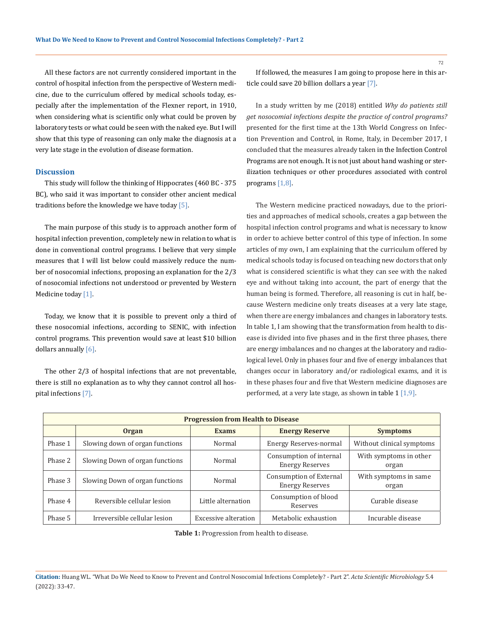All these factors are not currently considered important in the control of hospital infection from the perspective of Western medicine, due to the curriculum offered by medical schools today, especially after the implementation of the Flexner report, in 1910, when considering what is scientific only what could be proven by laboratory tests or what could be seen with the naked eye. But I will show that this type of reasoning can only make the diagnosis at a very late stage in the evolution of disease formation.

### **Discussion**

This study will follow the thinking of Hippocrates (460 BC - 375 BC), who said it was important to consider other ancient medical traditions before the knowledge we have today [5].

The main purpose of this study is to approach another form of hospital infection prevention, completely new in relation to what is done in conventional control programs. I believe that very simple measures that I will list below could massively reduce the number of nosocomial infections, proposing an explanation for the 2/3 of nosocomial infections not understood or prevented by Western Medicine today [1].

Today, we know that it is possible to prevent only a third of these nosocomial infections, according to SENIC, with infection control programs. This prevention would save at least \$10 billion dollars annually [6].

The other 2/3 of hospital infections that are not preventable, there is still no explanation as to why they cannot control all hospital infections [7].

If followed, the measures I am going to propose here in this article could save 20 billion dollars a year [7].

In a study written by me (2018) entitled *Why do patients still get nosocomial infections despite the practice of control programs?* presented for the first time at the 13th World Congress on Infection Prevention and Control, in Rome, Italy, in December 2017, I concluded that the measures already taken in the Infection Control Programs are not enough. It is not just about hand washing or sterilization techniques or other procedures associated with control programs [1,8].

The Western medicine practiced nowadays, due to the priorities and approaches of medical schools, creates a gap between the hospital infection control programs and what is necessary to know in order to achieve better control of this type of infection. In some articles of my own, I am explaining that the curriculum offered by medical schools today is focused on teaching new doctors that only what is considered scientific is what they can see with the naked eye and without taking into account, the part of energy that the human being is formed. Therefore, all reasoning is cut in half, because Western medicine only treats diseases at a very late stage, when there are energy imbalances and changes in laboratory tests. In table 1, I am showing that the transformation from health to disease is divided into five phases and in the first three phases, there are energy imbalances and no changes at the laboratory and radiological level. Only in phases four and five of energy imbalances that changes occur in laboratory and/or radiological exams, and it is in these phases four and five that Western medicine diagnoses are performed, at a very late stage, as shown in table  $1 \lfloor 1.9 \rfloor$ .

| <b>Progression from Health to Disease</b> |                                 |                      |                                                   |                                 |  |  |  |  |
|-------------------------------------------|---------------------------------|----------------------|---------------------------------------------------|---------------------------------|--|--|--|--|
|                                           | <b>Organ</b>                    | <b>Exams</b>         | <b>Energy Reserve</b>                             | <b>Symptoms</b>                 |  |  |  |  |
| Phase 1                                   | Slowing down of organ functions | Normal               | <b>Energy Reserves-normal</b>                     | Without clinical symptoms       |  |  |  |  |
| Phase 2                                   | Slowing Down of organ functions | Normal               | Consumption of internal<br><b>Energy Reserves</b> | With symptoms in other<br>organ |  |  |  |  |
| Phase 3                                   | Slowing Down of organ functions | Normal               | Consumption of External<br><b>Energy Reserves</b> | With symptoms in same<br>organ  |  |  |  |  |
| Phase 4                                   | Reversible cellular lesion      | Little alternation   | Consumption of blood<br>Reserves                  | Curable disease                 |  |  |  |  |
| Phase 5                                   | Irreversible cellular lesion    | Excessive alteration | Metabolic exhaustion                              | Incurable disease               |  |  |  |  |

**Table 1:** Progression from health to disease.

**Citation:** Huang WL*.* "What Do We Need to Know to Prevent and Control Nosocomial Infections Completely? - Part 2". *Acta Scientific Microbiology* 5.4 (2022): 33-47.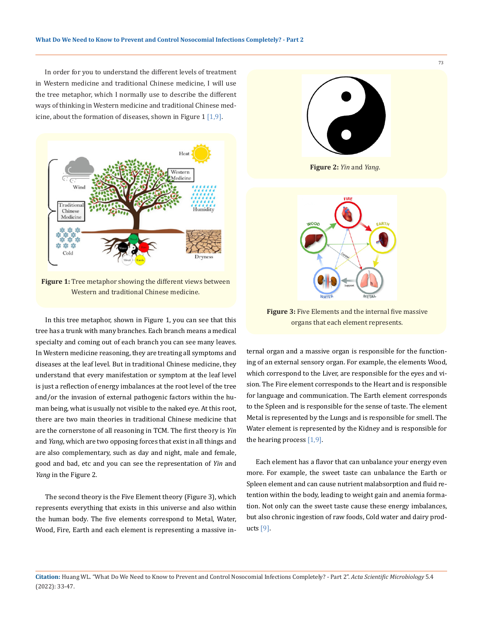In order for you to understand the different levels of treatment in Western medicine and traditional Chinese medicine, I will use the tree metaphor, which I normally use to describe the different ways of thinking in Western medicine and traditional Chinese medicine, about the formation of diseases, shown in Figure 1 [1,9].



**Figure 1:** Tree metaphor showing the different views between Western and traditional Chinese medicine.

In this tree metaphor, shown in Figure 1, you can see that this tree has a trunk with many branches. Each branch means a medical specialty and coming out of each branch you can see many leaves. In Western medicine reasoning, they are treating all symptoms and diseases at the leaf level. But in traditional Chinese medicine, they understand that every manifestation or symptom at the leaf level is just a reflection of energy imbalances at the root level of the tree and/or the invasion of external pathogenic factors within the human being, what is usually not visible to the naked eye. At this root, there are two main theories in traditional Chinese medicine that are the cornerstone of all reasoning in TCM. The first theory is *Yin* and *Yang*, which are two opposing forces that exist in all things and are also complementary, such as day and night, male and female, good and bad, etc and you can see the representation of *Yin* and *Yang* in the Figure 2.

The second theory is the Five Element theory (Figure 3), which represents everything that exists in this universe and also within the human body. The five elements correspond to Metal, Water, Wood, Fire, Earth and each element is representing a massive in-



**Figure 2:** *Yin* and *Yang*.



**Figure 3:** Five Elements and the internal five massive organs that each element represents.

ternal organ and a massive organ is responsible for the functioning of an external sensory organ. For example, the elements Wood, which correspond to the Liver, are responsible for the eyes and vision. The Fire element corresponds to the Heart and is responsible for language and communication. The Earth element corresponds to the Spleen and is responsible for the sense of taste. The element Metal is represented by the Lungs and is responsible for smell. The Water element is represented by the Kidney and is responsible for the hearing process [1,9].

Each element has a flavor that can unbalance your energy even more. For example, the sweet taste can unbalance the Earth or Spleen element and can cause nutrient malabsorption and fluid retention within the body, leading to weight gain and anemia formation. Not only can the sweet taste cause these energy imbalances, but also chronic ingestion of raw foods, Cold water and dairy products [9].

**Citation:** Huang WL*.* "What Do We Need to Know to Prevent and Control Nosocomial Infections Completely? - Part 2". *Acta Scientific Microbiology* 5.4 (2022): 33-47.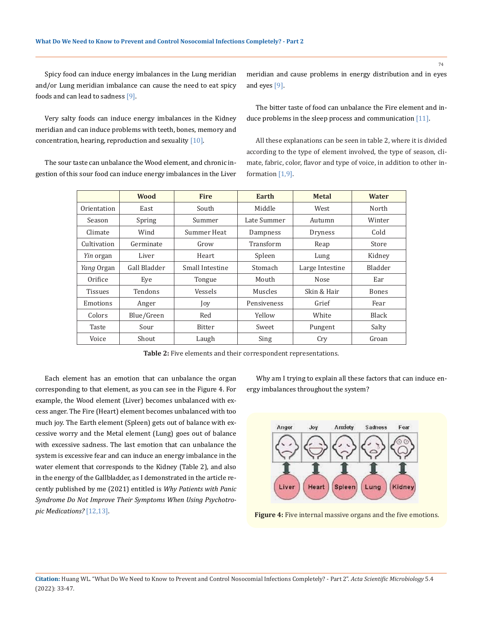Spicy food can induce energy imbalances in the Lung meridian and/or Lung meridian imbalance can cause the need to eat spicy foods and can lead to sadness [9].

Very salty foods can induce energy imbalances in the Kidney meridian and can induce problems with teeth, bones, memory and concentration, hearing, reproduction and sexuality [10].

The sour taste can unbalance the Wood element, and chronic ingestion of this sour food can induce energy imbalances in the Liver meridian and cause problems in energy distribution and in eyes and eyes [9].

The bitter taste of food can unbalance the Fire element and induce problems in the sleep process and communication [11].

All these explanations can be seen in table 2, where it is divided according to the type of element involved, the type of season, climate, fabric, color, flavor and type of voice, in addition to other information [1,9].

|                   | <b>Wood</b>  | <b>Fire</b>     | Earth       | <b>Metal</b>    | <b>Water</b> |
|-------------------|--------------|-----------------|-------------|-----------------|--------------|
| Orientation       | East         | South           | Middle      | West            | North        |
| Season            | Spring       | Summer          | Late Summer | Autumn          | Winter       |
| Climate           | Wind         | Summer Heat     | Dampness    | <b>Dryness</b>  | Cold         |
| Cultivation       | Germinate    | Grow            | Transform   | Reap            | Store        |
| <i>Yin</i> organ  | Liver        | Heart           | Spleen      | Lung            | Kidney       |
| <i>Yang</i> Organ | Gall Bladder | Small Intestine | Stomach     | Large Intestine | Bladder      |
| Orifice           | Eve          | Tongue          | Mouth       | Nose            | Ear          |
| <b>Tissues</b>    | Tendons      | Vessels         | Muscles     | Skin & Hair     | Bones        |
| Emotions          | Anger        | Joy             | Pensiveness | Grief           | Fear         |
| Colors            | Blue/Green   | Red             | Yellow      | White           | Black        |
| Taste             | Sour         | Bitter          | Sweet       | Pungent         | Salty        |
| Voice             | Shout        | Laugh           | Sing        | Cry             | Groan        |

**Table 2:** Five elements and their correspondent representations.

Each element has an emotion that can unbalance the organ corresponding to that element, as you can see in the Figure 4. For example, the Wood element (Liver) becomes unbalanced with excess anger. The Fire (Heart) element becomes unbalanced with too much joy. The Earth element (Spleen) gets out of balance with excessive worry and the Metal element (Lung) goes out of balance with excessive sadness. The last emotion that can unbalance the system is excessive fear and can induce an energy imbalance in the water element that corresponds to the Kidney (Table 2), and also in the energy of the Gallbladder, as I demonstrated in the article recently published by me (2021) entitled is *Why Patients with Panic Syndrome Do Not Improve Their Symptoms When Using Psychotro-***Figure 4:** Five internal massive organs and the five emotions.

Why am I trying to explain all these factors that can induce energy imbalances throughout the system?

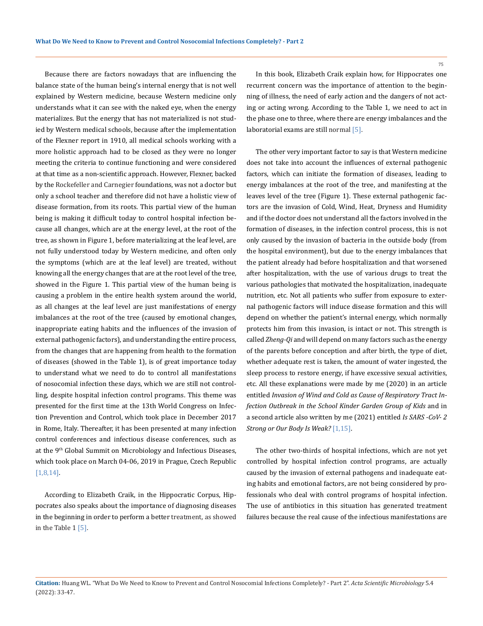Because there are factors nowadays that are influencing the balance state of the human being's internal energy that is not well explained by Western medicine, because Western medicine only understands what it can see with the naked eye, when the energy materializes. But the energy that has not materialized is not studied by Western medical schools, because after the implementation of the Flexner report in 1910, all medical schools working with a more holistic approach had to be closed as they were no longer meeting the criteria to continue functioning and were considered at that time as a non-scientific approach. However, Flexner, backed by the Rockefeller and Carnegier foundations, was not a doctor but only a school teacher and therefore did not have a holistic view of disease formation, from its roots. This partial view of the human being is making it difficult today to control hospital infection because all changes, which are at the energy level, at the root of the tree, as shown in Figure 1, before materializing at the leaf level, are not fully understood today by Western medicine, and often only the symptoms (which are at the leaf level) are treated, without knowing all the energy changes that are at the root level of the tree, showed in the Figure 1. This partial view of the human being is causing a problem in the entire health system around the world, as all changes at the leaf level are just manifestations of energy imbalances at the root of the tree (caused by emotional changes, inappropriate eating habits and the influences of the invasion of external pathogenic factors), and understanding the entire process, from the changes that are happening from health to the formation of diseases (showed in the Table 1), is of great importance today to understand what we need to do to control all manifestations of nosocomial infection these days, which we are still not controlling, despite hospital infection control programs. This theme was presented for the first time at the 13th World Congress on Infection Prevention and Control, which took place in December 2017 in Rome, Italy. Thereafter, it has been presented at many infection control conferences and infectious disease conferences, such as at the 9th Global Summit on Microbiology and Infectious Diseases, which took place on March 04-06, 2019 in Prague, Czech Republic [1,8,14].

According to Elizabeth Craik, in the Hippocratic Corpus, Hippocrates also speaks about the importance of diagnosing diseases in the beginning in order to perform a better treatment, as showed in the Table  $1 \, 5$ .

In this book, Elizabeth Craik explain how, for Hippocrates one recurrent concern was the importance of attention to the beginning of illness, the need of early action and the dangers of not acting or acting wrong. According to the Table 1, we need to act in the phase one to three, where there are energy imbalances and the laboratorial exams are still normal [5].

The other very important factor to say is that Western medicine does not take into account the influences of external pathogenic factors, which can initiate the formation of diseases, leading to energy imbalances at the root of the tree, and manifesting at the leaves level of the tree (Figure 1). These external pathogenic factors are the invasion of Cold, Wind, Heat, Dryness and Humidity and if the doctor does not understand all the factors involved in the formation of diseases, in the infection control process, this is not only caused by the invasion of bacteria in the outside body (from the hospital environment), but due to the energy imbalances that the patient already had before hospitalization and that worsened after hospitalization, with the use of various drugs to treat the various pathologies that motivated the hospitalization, inadequate nutrition, etc. Not all patients who suffer from exposure to external pathogenic factors will induce disease formation and this will depend on whether the patient's internal energy, which normally protects him from this invasion, is intact or not. This strength is called *Zheng-Qi* and will depend on many factors such as the energy of the parents before conception and after birth, the type of diet, whether adequate rest is taken, the amount of water ingested, the sleep process to restore energy, if have excessive sexual activities, etc. All these explanations were made by me (2020) in an article entitled *Invasion of Wind and Cold as Cause of Respiratory Tract Infection Outbreak in the School Kinder Garden Group of Kids* and in a second article also written by me (2021) entitled *Is SARS -CoV- 2 Strong or Our Body Is Weak?* [1,15].

The other two-thirds of hospital infections, which are not yet controlled by hospital infection control programs, are actually caused by the invasion of external pathogens and inadequate eating habits and emotional factors, are not being considered by professionals who deal with control programs of hospital infection. The use of antibiotics in this situation has generated treatment failures because the real cause of the infectious manifestations are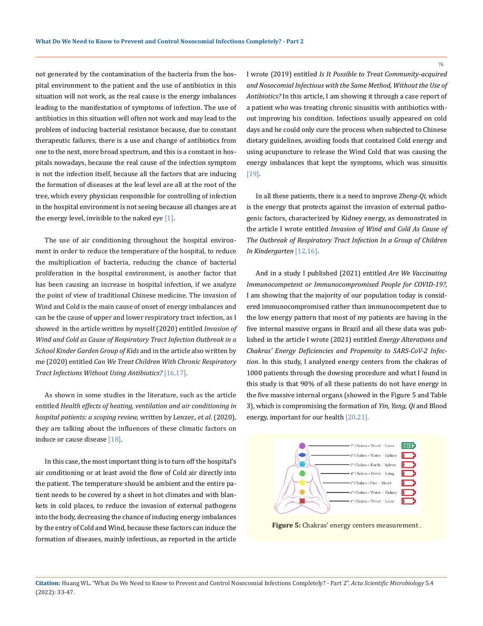not generated by the contamination of the bacteria from the hospital environment to the patient and the use of antibiotics in this situation will not work, as the real cause is the energy imbalances leading to the manifestation of symptoms of infection. The use of antibiotics in this situation will often not work and may lead to the problem of inducing bacterial resistance because, due to constant therapeutic failures, there is a use and change of antibiotics from one to the next, more broad spectrum, and this is a constant in hospitals nowadays, because the real cause of the infection symptom is not the infection itself, because all the factors that are inducing the formation of diseases at the leaf level are all at the root of the tree, which every physician responsible for controlling of infection in the hospital environment is not seeing because all changes are at the energy level, invisible to the naked eye [1].

The use of air conditioning throughout the hospital environment in order to reduce the temperature of the hospital, to reduce the multiplication of bacteria, reducing the chance of bacterial proliferation in the hospital environment, is another factor that has been causing an increase in hospital infection, if we analyze the point of view of traditional Chinese medicine. The invasion of Wind and Cold is the main cause of onset of energy imbalances and can be the cause of upper and lower respiratory tract infection, as I showed in the article written by myself (2020) entitled *Invasion of Wind and Cold as Cause of Respiratory Tract Infection Outbreak in a School Kinder Garden Group of Kids* and in the article also written by me (2020) entitled *Can We Treat Children With Chronic Respiratory Tract Infections Without Using Antibiotics?* [16,17].

As shown in some studies in the literature, such as the article entitled *Health effects of heating, ventilation and air conditioning in hospital patients: a scoping review,* written by Lenzer., *et al*. (2020), they are talking about the influences of these climatic factors on induce or cause disease [18].

In this case, the most important thing is to turn off the hospital's air conditioning or at least avoid the flow of Cold air directly into the patient. The temperature should be ambient and the entire patient needs to be covered by a sheet in hot climates and with blankets in cold places, to reduce the invasion of external pathogens into the body, decreasing the chance of inducing energy imbalances by the entry of Cold and Wind, because these factors can induce the formation of diseases, mainly infectious, as reported in the article

I wrote (2019) entitled *Is It Possible to Treat Community-acquired and Nosocomial Infectious with the Same Method, Without the Use of Antibiotics?* In this article, I am showing it through a case report of a patient who was treating chronic sinusitis with antibiotics without improving his condition. Infections usually appeared on cold days and he could only cure the process when subjected to Chinese dietary guidelines, avoiding foods that contained Cold energy and using acupuncture to release the Wind Cold that was causing the energy imbalances that kept the symptoms, which was sinusitis [19].

In all these patients, there is a need to improve *Zheng-Qi,* which is the energy that protects against the invasion of external pathogenic factors, characterized by Kidney energy, as demonstrated in the article I wrote entitled *Invasion of Wind and Cold As Cause of The Outbreak of Respiratory Tract Infection In a Group of Children In Kindergarten* [12,16].

And in a study I published (2021) entitled *Are We Vaccinating Immunocompetent or Immunocompromised People for COVID-19?*, I am showing that the majority of our population today is considered immunocompromised rather than immunocompetent due to the low energy pattern that most of my patients are having in the five internal massive organs in Brazil and all these data was published in the article I wrote (2021) entitled *Energy Alterations and Chakras' Energy Deficiencies and Propensity to SARS-CoV-2 Infection*. In this study, I analyzed energy centers from the chakras of 1000 patients through the dowsing procedure and what I found in this study is that 90% of all these patients do not have energy in the five massive internal organs (showed in the Figure 5 and Table 3), which is compromising the formation of *Yin, Yang, Qi* and Blood energy, important for our health [20,21].



**Citation:** Huang WL*.* "What Do We Need to Know to Prevent and Control Nosocomial Infections Completely? - Part 2". *Acta Scientific Microbiology* 5.4 (2022): 33-47.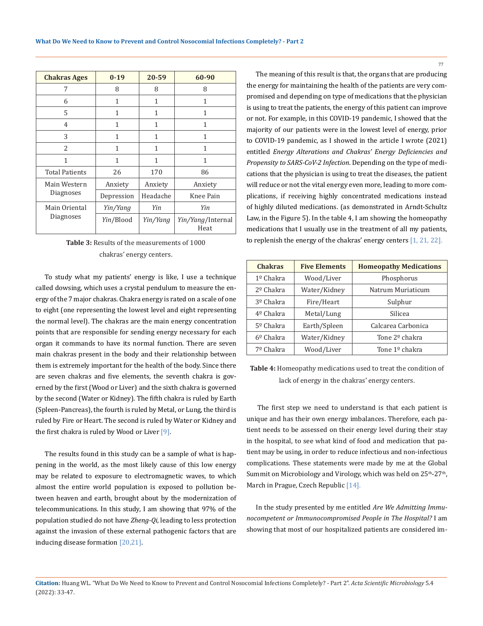| <b>Chakras Ages</b>   | $0 - 19$     | 20-59        | 60-90                     |
|-----------------------|--------------|--------------|---------------------------|
| 7                     | 8            | 8            | 8                         |
| 6                     | $\mathbf{1}$ | 1            | 1                         |
| 5                     | 1            | 1            | 1                         |
| 4                     | 1            | 1            | 1                         |
| 3                     | $\mathbf{1}$ | $\mathbf{1}$ | 1                         |
| 2                     | 1            | 1            | 1                         |
| 1                     | 1            | 1            | 1                         |
| <b>Total Patients</b> | 26           | 170          | 86                        |
| Main Western          | Anxiety      | Anxiety      | Anxiety                   |
| Diagnoses             | Depression   | Headache     | Knee Pain                 |
| Main Oriental         | Yin/Yang     | Yin          | Yin                       |
| Diagnoses             | Yin/Blood    | Yin/Yang     | Yin/Yang/Internal<br>Heat |

**Table 3:** Results of the measurements of 1000 chakras' energy centers.

To study what my patients' energy is like, I use a technique called dowsing, which uses a crystal pendulum to measure the energy of the 7 major chakras. Chakra energy is rated on a scale of one to eight (one representing the lowest level and eight representing the normal level). The chakras are the main energy concentration points that are responsible for sending energy necessary for each organ it commands to have its normal function. There are seven main chakras present in the body and their relationship between them is extremely important for the health of the body. Since there are seven chakras and five elements, the seventh chakra is governed by the first (Wood or Liver) and the sixth chakra is governed by the second (Water or Kidney). The fifth chakra is ruled by Earth (Spleen-Pancreas), the fourth is ruled by Metal, or Lung, the third is ruled by Fire or Heart. The second is ruled by Water or Kidney and the first chakra is ruled by Wood or Liver  $[9]$ .

The results found in this study can be a sample of what is happening in the world, as the most likely cause of this low energy may be related to exposure to electromagnetic waves, to which almost the entire world population is exposed to pollution between heaven and earth, brought about by the modernization of telecommunications. In this study, I am showing that 97% of the population studied do not have *Zheng-Qi*, leading to less protection against the invasion of these external pathogenic factors that are inducing disease formation [20,21].

The meaning of this result is that, the organs that are producing the energy for maintaining the health of the patients are very compromised and depending on type of medications that the physician is using to treat the patients, the energy of this patient can improve or not. For example, in this COVID-19 pandemic, I showed that the majority of our patients were in the lowest level of energy, prior to COVID-19 pandemic, as I showed in the article I wrote (2021) entitled *Energy Alterations and Chakras' Energy Deficiencies and Propensity to SARS-CoV-2 Infection*. Depending on the type of medications that the physician is using to treat the diseases, the patient will reduce or not the vital energy even more, leading to more complications, if receiving highly concentrated medications instead of highly diluted medications. (as demonstrated in Arndt-Schultz Law, in the Figure 5). In the table 4, I am showing the homeopathy medications that I usually use in the treatment of all my patients, to replenish the energy of the chakras' energy centers [1, 21, 22].

| <b>Chakras</b>     | <b>Five Elements</b> | <b>Homeopathy Medications</b> |
|--------------------|----------------------|-------------------------------|
| 1º Chakra          | Wood/Liver           | Phosphorus                    |
| $2o$ Chakra        | Water/Kidney         | Natrum Muriaticum             |
| 3º Chakra          | Fire/Heart           | Sulphur                       |
| $4^{\circ}$ Chakra | Metal/Lung           | Silicea                       |
| $5°$ Chakra        | Earth/Spleen         | Calcarea Carbonica            |
| $6^{\circ}$ Chakra | Water/Kidney         | Tone 2 <sup>o</sup> chakra    |
| 7º Chakra          | Wood/Liver           | Tone $1^{\circ}$ chakra       |

**Table 4:** Homeopathy medications used to treat the condition of lack of energy in the chakras' energy centers.

 The first step we need to understand is that each patient is unique and has their own energy imbalances. Therefore, each patient needs to be assessed on their energy level during their stay in the hospital, to see what kind of food and medication that patient may be using, in order to reduce infectious and non-infectious complications. These statements were made by me at the Global Summit on Microbiology and Virology, which was held on 25<sup>th</sup>-27<sup>th</sup>, March in Prague, Czech Republic [14].

In the study presented by me entitled *Are We Admitting Immunocompetent or Immunocompromised People in The Hospital?* I am showing that most of our hospitalized patients are considered im-

**Citation:** Huang WL*.* "What Do We Need to Know to Prevent and Control Nosocomial Infections Completely? - Part 2". *Acta Scientific Microbiology* 5.4 (2022): 33-47.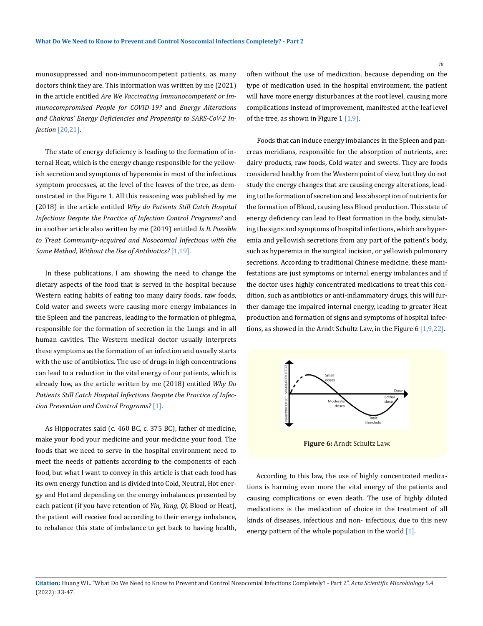munosuppressed and non-immunocompetent patients, as many doctors think they are. This information was written by me (2021) in the article entitled *Are We Vaccinating Immunocompetent or Immunocompromised People for COVID-19?* and *Energy Alterations and Chakras' Energy Deficiencies and Propensity to SARS-CoV-2 Infection* [20,21].

The state of energy deficiency is leading to the formation of internal Heat, which is the energy change responsible for the yellowish secretion and symptoms of hyperemia in most of the infectious symptom processes, at the level of the leaves of the tree, as demonstrated in the Figure 1. All this reasoning was published by me (2018) in the article entitled *Why do Patients Still Catch Hospital Infectious Despite the Practice of Infection Control Programs?* and in another article also written by me (2019) entitled *Is It Possible to Treat Community-acquired and Nosocomial Infectious with the Same Method, Without the Use of Antibiotics?* [1,19].

In these publications, I am showing the need to change the dietary aspects of the food that is served in the hospital because Western eating habits of eating too many dairy foods, raw foods, Cold water and sweets were causing more energy imbalances in the Spleen and the pancreas, leading to the formation of phlegma, responsible for the formation of secretion in the Lungs and in all human cavities. The Western medical doctor usually interprets these symptoms as the formation of an infection and usually starts with the use of antibiotics. The use of drugs in high concentrations can lead to a reduction in the vital energy of our patients, which is already low, as the article written by me (2018) entitled *Why Do Patients Still Catch Hospital Infections Despite the Practice of Infection Prevention and Control Programs?* [1].

As Hippocrates said (c. 460 BC, c. 375 BC), father of medicine, make your food your medicine and your medicine your food. The foods that we need to serve in the hospital environment need to meet the needs of patients according to the components of each food, but what I want to convey in this article is that each food has its own energy function and is divided into Cold, Neutral, Hot energy and Hot and depending on the energy imbalances presented by each patient (if you have retention of *Yin, Yang, Qi*, Blood or Heat), the patient will receive food according to their energy imbalance, to rebalance this state of imbalance to get back to having health, often without the use of medication, because depending on the type of medication used in the hospital environment, the patient will have more energy disturbances at the root level, causing more complications instead of improvement, manifested at the leaf level of the tree, as shown in Figure 1  $[1,9]$ .

 Foods that can induce energy imbalances in the Spleen and pancreas meridians, responsible for the absorption of nutrients, are: dairy products, raw foods, Cold water and sweets. They are foods considered healthy from the Western point of view, but they do not study the energy changes that are causing energy alterations, leading to the formation of secretion and less absorption of nutrients for the formation of Blood, causing less Blood production. This state of energy deficiency can lead to Heat formation in the body, simulating the signs and symptoms of hospital infections, which are hyperemia and yellowish secretions from any part of the patient's body, such as hyperemia in the surgical incision, or yellowish pulmonary secretions. According to traditional Chinese medicine, these manifestations are just symptoms or internal energy imbalances and if the doctor uses highly concentrated medications to treat this condition, such as antibiotics or anti-inflammatory drugs, this will further damage the impaired internal energy, leading to greater Heat production and formation of signs and symptoms of hospital infections, as showed in the Arndt Schultz Law, in the Figure 6 [1,9,22].



According to this law, the use of highly concentrated medications is harming even more the vital energy of the patients and causing complications or even death. The use of highly diluted medications is the medication of choice in the treatment of all kinds of diseases, infectious and non- infectious, due to this new energy pattern of the whole population in the world  $[1]$ .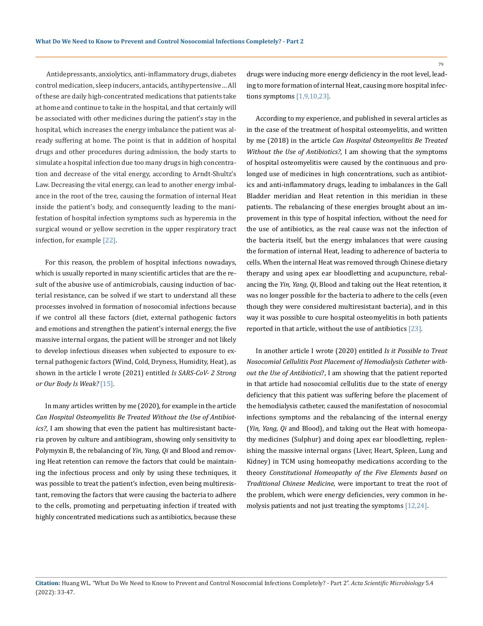Antidepressants, anxiolytics, anti-inflammatory drugs, diabetes control medication, sleep inducers, antacids, antihypertensive… All of these are daily high-concentrated medications that patients take at home and continue to take in the hospital, and that certainly will be associated with other medicines during the patient's stay in the hospital, which increases the energy imbalance the patient was already suffering at home. The point is that in addition of hospital drugs and other procedures during admission, the body starts to simulate a hospital infection due too many drugs in high concentration and decrease of the vital energy, according to Arndt-Shultz's Law. Decreasing the vital energy, can lead to another energy imbalance in the root of the tree, causing the formation of internal Heat inside the patient's body, and consequently leading to the manifestation of hospital infection symptoms such as hyperemia in the surgical wound or yellow secretion in the upper respiratory tract infection, for example [22].

For this reason, the problem of hospital infections nowadays, which is usually reported in many scientific articles that are the result of the abusive use of antimicrobials, causing induction of bacterial resistance, can be solved if we start to understand all these processes involved in formation of nosocomial infections because if we control all these factors (diet, external pathogenic factors and emotions and strengthen the patient's internal energy, the five massive internal organs, the patient will be stronger and not likely to develop infectious diseases when subjected to exposure to external pathogenic factors (Wind, Cold, Dryness, Humidity, Heat), as shown in the article I wrote (2021) entitled *Is SARS-CoV- 2 Strong or Our Body Is Weak?* [15].

In many articles written by me (2020), for example in the article *Can Hospital Osteomyelitis Be Treated Without the Use of Antibiotics?*, I am showing that even the patient has multiresistant bacteria proven by culture and antibiogram, showing only sensitivity to Polymyxin B, the rebalancing of *Yin, Yang, Qi* and Blood and removing Heat retention can remove the factors that could be maintaining the infectious process and only by using these techniques, it was possible to treat the patient's infection, even being multiresistant, removing the factors that were causing the bacteria to adhere to the cells, promoting and perpetuating infection if treated with highly concentrated medications such as antibiotics, because these

drugs were inducing more energy deficiency in the root level, leading to more formation of internal Heat, causing more hospital infections symptoms [1,9,10,23].

According to my experience, and published in several articles as in the case of the treatment of hospital osteomyelitis, and written by me (2018) in the article *Can Hospital Osteomyelitis Be Treated Without the Use of Antibiotics?*, I am showing that the symptoms of hospital osteomyelitis were caused by the continuous and prolonged use of medicines in high concentrations, such as antibiotics and anti-inflammatory drugs, leading to imbalances in the Gall Bladder meridian and Heat retention in this meridian in these patients. The rebalancing of these energies brought about an improvement in this type of hospital infection, without the need for the use of antibiotics, as the real cause was not the infection of the bacteria itself, but the energy imbalances that were causing the formation of internal Heat, leading to adherence of bacteria to cells. When the internal Heat was removed through Chinese dietary therapy and using apex ear bloodletting and acupuncture, rebalancing the *Yin, Yang, Qi*, Blood and taking out the Heat retention, it was no longer possible for the bacteria to adhere to the cells (even though they were considered multiresistant bacteria), and in this way it was possible to cure hospital osteomyelitis in both patients reported in that article, without the use of antibiotics [23].

In another article I wrote (2020) entitled *Is it Possible to Treat Nosocomial Cellulitis Post Placement of Hemodialysis Catheter without the Use of Antibiotics*?, I am showing that the patient reported in that article had nosocomial cellulitis due to the state of energy deficiency that this patient was suffering before the placement of the hemodialysis catheter, caused the manifestation of nosocomial infections symptoms and the rebalancing of the internal energy (*Yin, Yang, Qi* and Blood), and taking out the Heat with homeopathy medicines (Sulphur) and doing apex ear bloodletting, replenishing the massive internal organs (Liver, Heart, Spleen, Lung and Kidney) in TCM using homeopathy medications according to the theory *Constitutional Homeopathy of the Five Elements based on Traditional Chinese Medicine*, were important to treat the root of the problem, which were energy deficiencies, very common in hemolysis patients and not just treating the symptoms [12,24].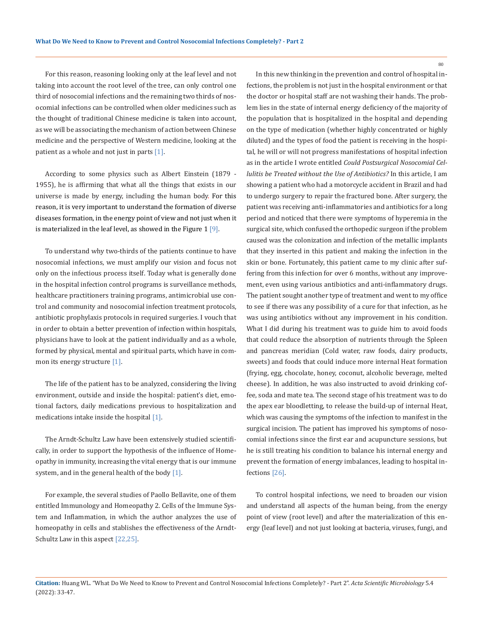For this reason, reasoning looking only at the leaf level and not taking into account the root level of the tree, can only control one third of nosocomial infections and the remaining two thirds of nosocomial infections can be controlled when older medicines such as the thought of traditional Chinese medicine is taken into account, as we will be associating the mechanism of action between Chinese medicine and the perspective of Western medicine, looking at the patient as a whole and not just in parts [1].

According to some physics such as Albert Einstein (1879 - 1955), he is affirming that what all the things that exists in our universe is made by energy, including the human body. For this reason, it is very important to understand the formation of diverse diseases formation, in the energy point of view and not just when it is materialized in the leaf level, as showed in the Figure  $1 \overline{9}$ .

To understand why two-thirds of the patients continue to have nosocomial infections, we must amplify our vision and focus not only on the infectious process itself. Today what is generally done in the hospital infection control programs is surveillance methods, healthcare practitioners training programs, antimicrobial use control and community and nosocomial infection treatment protocols, antibiotic prophylaxis protocols in required surgeries. I vouch that in order to obtain a better prevention of infection within hospitals, physicians have to look at the patient individually and as a whole, formed by physical, mental and spiritual parts, which have in common its energy structure [1].

The life of the patient has to be analyzed, considering the living environment, outside and inside the hospital: patient's diet, emotional factors, daily medications previous to hospitalization and medications intake inside the hospital [1].

The Arndt-Schultz Law have been extensively studied scientifically, in order to support the hypothesis of the influence of Homeopathy in immunity, increasing the vital energy that is our immune system, and in the general health of the body [1].

For example, the several studies of Paollo Bellavite, one of them entitled Immunology and Homeopathy 2. Cells of the Immune System and Inflammation, in which the author analyzes the use of homeopathy in cells and stablishes the effectiveness of the Arndt-Schultz Law in this aspect [22,25].

In this new thinking in the prevention and control of hospital infections, the problem is not just in the hospital environment or that the doctor or hospital staff are not washing their hands. The problem lies in the state of internal energy deficiency of the majority of the population that is hospitalized in the hospital and depending on the type of medication (whether highly concentrated or highly diluted) and the types of food the patient is receiving in the hospital, he will or will not progress manifestations of hospital infection as in the article I wrote entitled *Could Postsurgical Nosocomial Cellulitis be Treated without the Use of Antibiotics?* In this article, I am showing a patient who had a motorcycle accident in Brazil and had to undergo surgery to repair the fractured bone. After surgery, the patient was receiving anti-inflammatories and antibiotics for a long period and noticed that there were symptoms of hyperemia in the surgical site, which confused the orthopedic surgeon if the problem caused was the colonization and infection of the metallic implants that they inserted in this patient and making the infection in the skin or bone. Fortunately, this patient came to my clinic after suffering from this infection for over 6 months, without any improvement, even using various antibiotics and anti-inflammatory drugs. The patient sought another type of treatment and went to my office to see if there was any possibility of a cure for that infection, as he was using antibiotics without any improvement in his condition. What I did during his treatment was to guide him to avoid foods that could reduce the absorption of nutrients through the Spleen and pancreas meridian (Cold water, raw foods, dairy products, sweets) and foods that could induce more internal Heat formation (frying, egg, chocolate, honey, coconut, alcoholic beverage, melted cheese). In addition, he was also instructed to avoid drinking coffee, soda and mate tea. The second stage of his treatment was to do the apex ear bloodletting, to release the build-up of internal Heat, which was causing the symptoms of the infection to manifest in the surgical incision. The patient has improved his symptoms of nosocomial infections since the first ear and acupuncture sessions, but he is still treating his condition to balance his internal energy and prevent the formation of energy imbalances, leading to hospital infections [26].

To control hospital infections, we need to broaden our vision and understand all aspects of the human being, from the energy point of view (root level) and after the materialization of this energy (leaf level) and not just looking at bacteria, viruses, fungi, and

**Citation:** Huang WL*.* "What Do We Need to Know to Prevent and Control Nosocomial Infections Completely? - Part 2". *Acta Scientific Microbiology* 5.4 (2022): 33-47.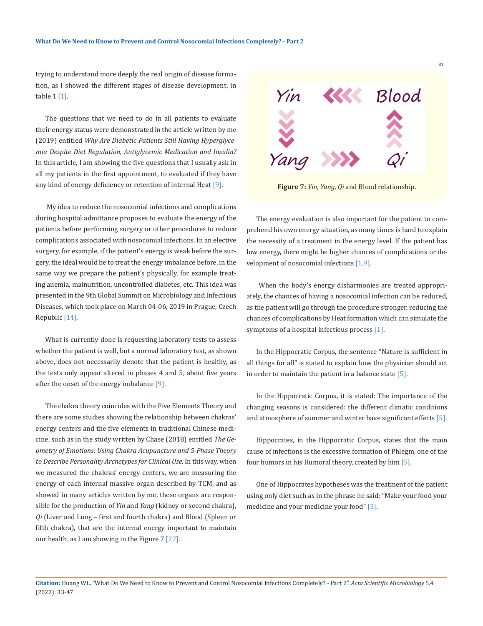trying to understand more deeply the real origin of disease formation, as I showed the different stages of disease development, in table 1 [1].

The questions that we need to do in all patients to evaluate their energy status were demonstrated in the article written by me (2019) entitled *Why Are Diabetic Patients Still Having Hyperglycemia Despite Diet Regulation, Antiglycemic Medication and Insulin?*  In this article, I am showing the five questions that I usually ask in all my patients in the first appointment, to evaluated if they have any kind of energy deficiency or retention of internal Heat [9].

My idea to reduce the nosocomial infections and complications during hospital admittance proposes to evaluate the energy of the patients before performing surgery or other procedures to reduce complications associated with nosocomial infections. In an elective surgery, for example, if the patient's energy is weak before the surgery, the ideal would be to treat the energy imbalance before, in the same way we prepare the patient's physically, for example treating anemia, malnutrition, uncontrolled diabetes, etc. This idea was presented in the 9th Global Summit on Microbiology and Infectious Diseases, which took place on March 04-06, 2019 in Prague, Czech Republic [14].

What is currently done is requesting laboratory tests to assess whether the patient is well, but a normal laboratory test, as shown above, does not necessarily denote that the patient is healthy, as the tests only appear altered in phases 4 and 5, about five years after the onset of the energy imbalance [9].

The chakra theory coincides with the Five Elements Theory and there are some studies showing the relationship between chakras' energy centers and the five elements in traditional Chinese medicine, such as in the study written by Chase (2018) entitled *The Geometry of Emotions: Using Chakra Acupuncture and 5-Phase Theory to Describe Personality Archetypes for Clinical Use*. In this way, when we measured the chakras' energy centers, we are measuring the energy of each internal massive organ described by TCM, and as showed in many articles written by me, these organs are responsible for the production of *Yin* and *Yang* (kidney or second chakra), *Qi* (Liver and Lung – first and fourth chakra) and Blood (Spleen or fifth chakra), that are the internal energy important to maintain our health, as I am showing in the Figure 7 [27].



**Figure 7:** *Yin, Yang, Qi* and Blood relationship.

The energy evaluation is also important for the patient to comprehend his own energy situation, as many times is hard to explain the necessity of a treatment in the energy level. If the patient has low energy, there might be higher chances of complications or development of nosocomial infections [1,9].

 When the body's energy disharmonies are treated appropriately, the chances of having a nosocomial infection can be reduced, as the patient will go through the procedure stronger, reducing the chances of complications by Heat formation which can simulate the symptoms of a hospital infectious process [1].

In the Hippocratic Corpus, the sentence "Nature is sufficient in all things for all" is stated to explain how the physician should act in order to maintain the patient in a balance state [5].

In the Hippocratic Corpus, it is stated: The importance of the changing seasons is considered: the different climatic conditions and atmosphere of summer and winter have significant effects [5].

Hippocrates, in the Hippocratic Corpus, states that the main cause of infections is the excessive formation of Phlegm, one of the four humors in his Humoral theory, created by him [5].

One of Hippocrates hypotheses was the treatment of the patient using only diet such as in the phrase he said: "Make your food your medicine and your medicine your food" [5].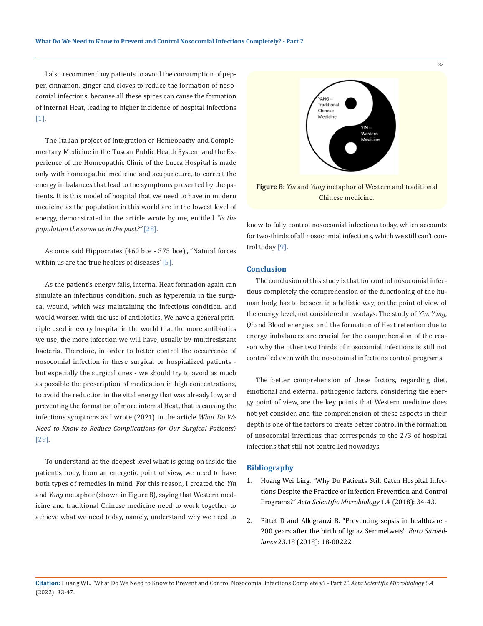I also recommend my patients to avoid the consumption of pepper, cinnamon, ginger and cloves to reduce the formation of nosocomial infections, because all these spices can cause the formation of internal Heat, leading to higher incidence of hospital infections [1].

The Italian project of Integration of Homeopathy and Complementary Medicine in the Tuscan Public Health System and the Experience of the Homeopathic Clinic of the Lucca Hospital is made only with homeopathic medicine and acupuncture, to correct the energy imbalances that lead to the symptoms presented by the patients. It is this model of hospital that we need to have in modern medicine as the population in this world are in the lowest level of energy, demonstrated in the article wrote by me, entitled *"Is the population the same as in the past?"* [28].

As once said Hippocrates (460 bce - 375 bce),, "Natural forces within us are the true healers of diseases' [5].

As the patient's energy falls, internal Heat formation again can simulate an infectious condition, such as hyperemia in the surgical wound, which was maintaining the infectious condition, and would worsen with the use of antibiotics. We have a general principle used in every hospital in the world that the more antibiotics we use, the more infection we will have, usually by multiresistant bacteria. Therefore, in order to better control the occurrence of nosocomial infection in these surgical or hospitalized patients but especially the surgical ones - we should try to avoid as much as possible the prescription of medication in high concentrations, to avoid the reduction in the vital energy that was already low, and preventing the formation of more internal Heat, that is causing the infections symptoms as I wrote (2021) in the article *What Do We Need to Know to Reduce Complications for Our Surgical Patients?*  [29].

To understand at the deepest level what is going on inside the patient's body, from an energetic point of view, we need to have both types of remedies in mind. For this reason, I created the *Yin* and *Yang* metaphor (shown in Figure 8), saying that Western medicine and traditional Chinese medicine need to work together to achieve what we need today, namely, understand why we need to



Chinese medicine.

know to fully control nosocomial infections today, which accounts for two-thirds of all nosocomial infections, which we still can't control today [9].

# **Conclusion**

The conclusion of this study is that for control nosocomial infectious completely the comprehension of the functioning of the human body, has to be seen in a holistic way, on the point of view of the energy level, not considered nowadays. The study of *Yin, Yang, Qi* and Blood energies, and the formation of Heat retention due to energy imbalances are crucial for the comprehension of the reason why the other two thirds of nosocomial infections is still not controlled even with the nosocomial infections control programs.

The better comprehension of these factors, regarding diet, emotional and external pathogenic factors, considering the energy point of view, are the key points that Western medicine does not yet consider, and the comprehension of these aspects in their depth is one of the factors to create better control in the formation of nosocomial infections that corresponds to the 2/3 of hospital infections that still not controlled nowadays.

### **Bibliography**

- 1. Huang Wei Ling. "Why Do Patients Still Catch Hospital Infections Despite the Practice of Infection Prevention and Control Programs?" *Acta Scientific Microbiology* 1.4 (2018): 34-43.
- 2. Pittet D and Allegranzi B. "Preventing sepsis in healthcare 200 years after the birth of Ignaz Semmelweis". *Euro Surveillance* 23.18 (2018): 18-00222.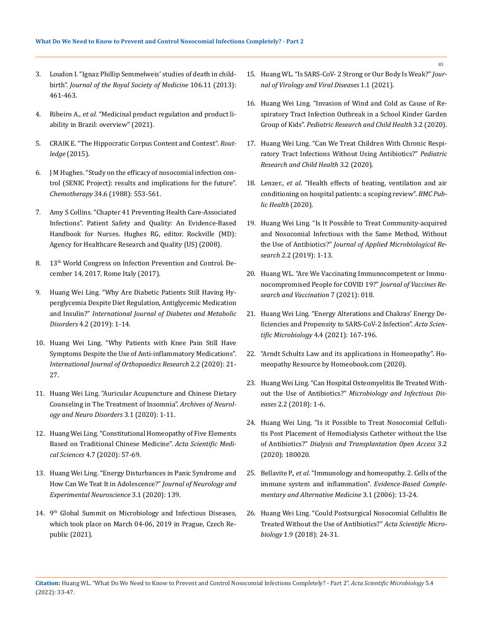- 3. Loudon I. "Ignaz Phillip Semmelweis' studies of death in childbirth". *Journal of the Royal Society of Medicine* 106.11 (2013): 461-463.
- 4. Ribeiro A., *et al*. "Medicinal product regulation and product liability in Brazil: overview" (2021).
- 5. CRAIK E. "The Hippocratic Corpus Content and Context". *Routledge* (2015).
- 6. J M Hughes. "Study on the efficacy of nosocomial infection control (SENIC Project): results and implications for the future". *Chemotherapy* 34.6 (1988): 553-561.
- 7. Amy S Collins. "Chapter 41 Preventing Health Care-Associated Infections". Patient Safety and Quality: An Evidence-Based Handbook for Nurses. Hughes RG, editor. Rockville (MD): Agency for Healthcare Research and Quality (US) (2008).
- 8. 13<sup>th</sup> World Congress on Infection Prevention and Control. December 14, 2017. Rome Italy (2017).
- 9. Huang Wei Ling. "Why Are Diabetic Patients Still Having Hyperglycemia Despite Diet Regulation, Antiglycemic Medication and Insulin?" *International Journal of Diabetes and Metabolic Disorders* 4.2 (2019): 1-14.
- 10. Huang Wei Ling. "Why Patients with Knee Pain Still Have Symptoms Despite the Use of Anti-inflammatory Medications". *International Journal of Orthopaedics Research* 2.2 (2020): 21- 27.
- 11. Huang Wei Ling. "Auricular Acupuncture and Chinese Dietary Counseling in The Treatment of Insomnia". *Archives of Neurology and Neuro Disorders* 3.1 (2020): 1-11.
- 12. Huang Wei Ling. "Constitutional Homeopathy of Five Elements Based on Traditional Chinese Medicine". *Acta Scientific Medical Sciences* 4.7 (2020): 57-69.
- 13. Huang Wei Ling. "Energy Disturbances in Panic Syndrome and How Can We Teat It in Adolescence?" *Journal of Neurology and Experimental Neuroscience* 3.1 (2020): 139.
- 14. 9<sup>th</sup> Global Summit on Microbiology and Infectious Diseases, which took place on March 04-06, 2019 in Prague, Czech Republic (2021).
- 15. Huang WL. "Is SARS-CoV- 2 Strong or Our Body Is Weak?" *Journal of Virology and Viral Diseases* 1.1 (2021).
- 16. Huang Wei Ling. "Invasion of Wind and Cold as Cause of Respiratory Tract Infection Outbreak in a School Kinder Garden Group of Kids". *Pediatric Research and Child Health* 3.2 (2020).
- 17. Huang Wei Ling. "Can We Treat Children With Chronic Respiratory Tract Infections Without Using Antibiotics?" *Pediatric Research and Child Health* 3.2 (2020).
- 18. Lenzer., *et al*. "Health effects of heating, ventilation and air conditioning on hospital patients: a scoping review". *BMC Public Health* (2020).
- 19. Huang Wei Ling. "Is It Possible to Treat Community-acquired and Nosocomial Infectious with the Same Method, Without the Use of Antibiotics?" *Journal of Applied Microbiological Research* 2.2 (2019): 1-13.
- 20. Huang WL. "Are We Vaccinating Immunocompetent or Immunocompromised People for COVID 19?" *Journal of Vaccines Research and Vaccination* 7 (2021): 018.
- 21. Huang Wei Ling. "Energy Alterations and Chakras' Energy Deficiencies and Propensity to SARS-CoV-2 Infection". *Acta Scientific Microbiology* 4.4 (2021): 167-196.
- 22. "Arndt Schultz Law and its applications in Homeopathy". Homeopathy Resource by Homeobook.com (2020).
- 23. Huang Wei Ling. "Can Hospital Osteomyelitis Be Treated Without the Use of Antibiotics?" *Microbiology and Infectious Diseases* 2.2 (2018): 1-6.
- 24. Huang Wei Ling. "Is it Possible to Treat Nosocomial Cellulitis Post Placement of Hemodialysis Catheter without the Use of Antibiotics?" *Dialysis and Transplantation Open Access* 3.2 (2020): 180020.
- 25. Bellavite P., *et al*. "Immunology and homeopathy. 2. Cells of the immune system and inflammation". *Evidence-Based Complementary and Alternative Medicine* 3.1 (2006): 13-24.
- 26. Huang Wei Ling. "Could Postsurgical Nosocomial Cellulitis Be Treated Without the Use of Antibiotics?" *Acta Scientific Microbiology* 1.9 (2018): 24-31.